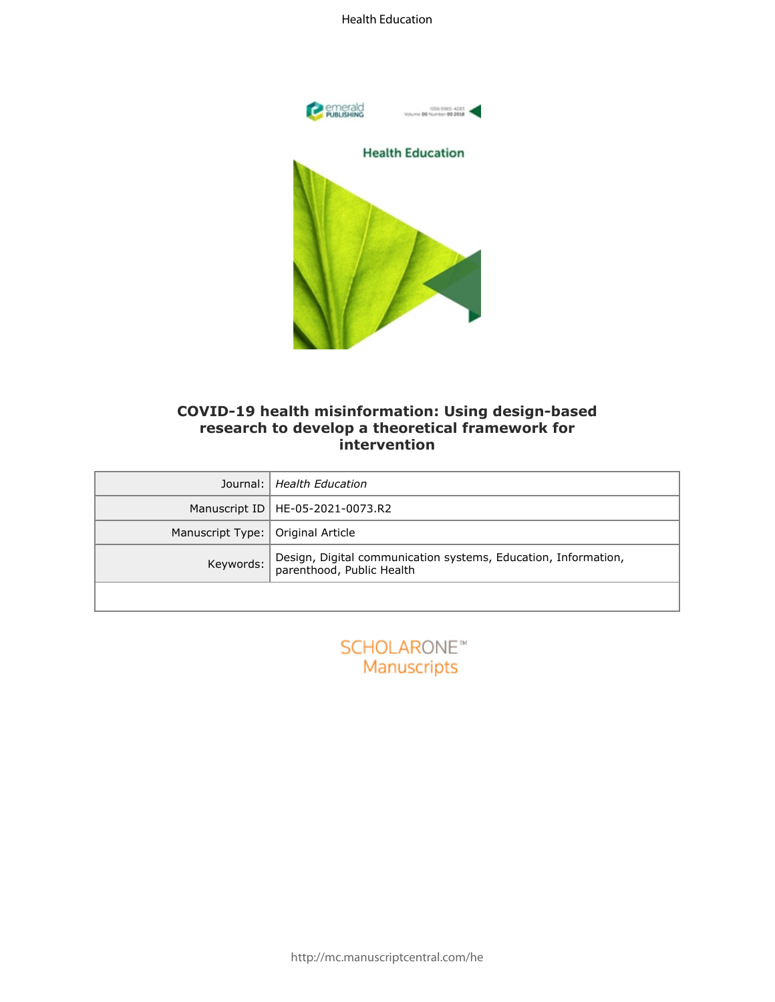

# **COVID-19 health misinformation: Using design-based research to develop a theoretical framework for intervention**

| COVID-19 health misinformation: Using design-based<br>research to develop a theoretical framework for<br>intervention |                                                                                             |  |
|-----------------------------------------------------------------------------------------------------------------------|---------------------------------------------------------------------------------------------|--|
| Journal:                                                                                                              | <b>Health Education</b>                                                                     |  |
| Manuscript ID                                                                                                         | HE-05-2021-0073.R2                                                                          |  |
| Manuscript Type:                                                                                                      | Original Article                                                                            |  |
| Keywords:                                                                                                             | Design, Digital communication systems, Education, Information,<br>parenthood, Public Health |  |
|                                                                                                                       |                                                                                             |  |

| <b>SCHOLARONE™</b> |
|--------------------|
| Manuscripts        |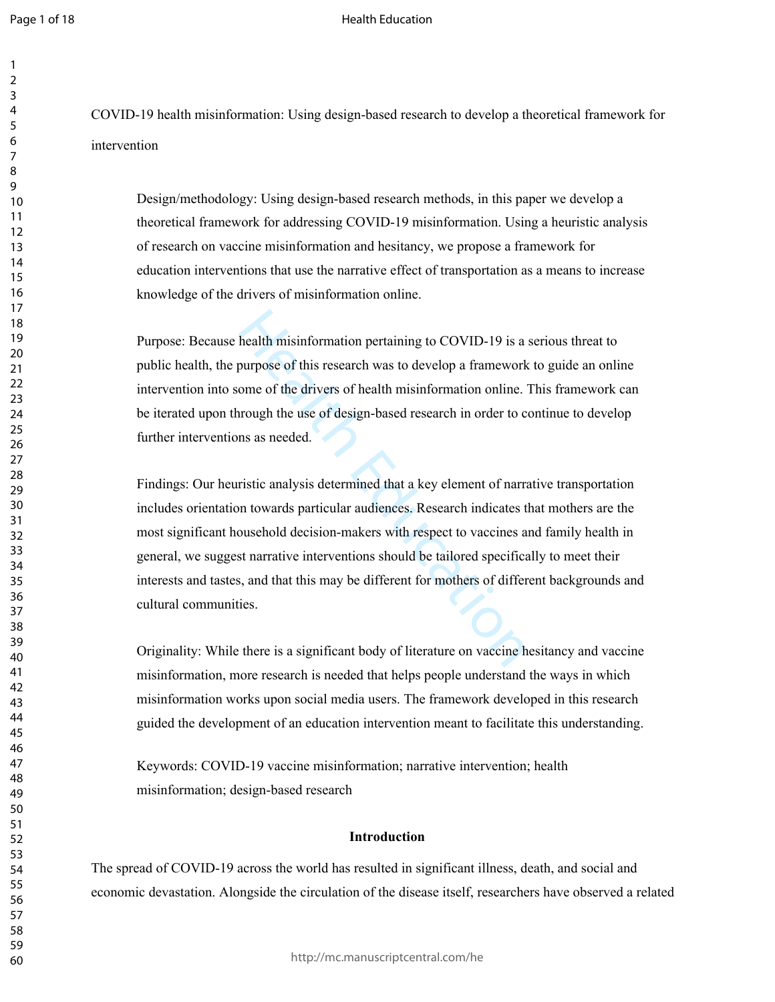### Health Education

COVID-19 health misinformation: Using design-based research to develop a theoretical framework for intervention

Design/methodology: Using design-based research methods, in this paper we develop a theoretical framework for addressing COVID-19 misinformation. Using a heuristic analysis of research on vaccine misinformation and hesitancy, we propose a framework for education interventions that use the narrative effect of transportation as a means to increase knowledge of the drivers of misinformation online.

Purpose: Because health misinformation pertaining to COVID-19 is a serious threat to public health, the purpose of this research was to develop a framework to guide an online intervention into some of the drivers of health misinformation online. This framework can be iterated upon through the use of design-based research in order to continue to develop further interventions as needed.

health misinformation pertaining to COVID-19 is a<br>purpose of this research was to develop a framework<br>ome of the drivers of health misinformation online.<br>"<br>rough the use of design-based research in order to c<br>ns as needed. Findings: Our heuristic analysis determined that a key element of narrative transportation includes orientation towards particular audiences. Research indicates that mothers are the most significant household decision-makers with respect to vaccines and family health in general, we suggest narrative interventions should be tailored specifically to meet their interests and tastes, and that this may be different for mothers of different backgrounds and cultural communities.

Originality: While there is a significant body of literature on vaccine hesitancy and vaccine misinformation, more research is needed that helps people understand the ways in which misinformation works upon social media users. The framework developed in this research guided the development of an education intervention meant to facilitate this understanding.

Keywords: COVID-19 vaccine misinformation; narrative intervention; health misinformation; design-based research

## **Introduction**

The spread of COVID-19 across the world has resulted in significant illness, death, and social and economic devastation. Alongside the circulation of the disease itself, researchers have observed a related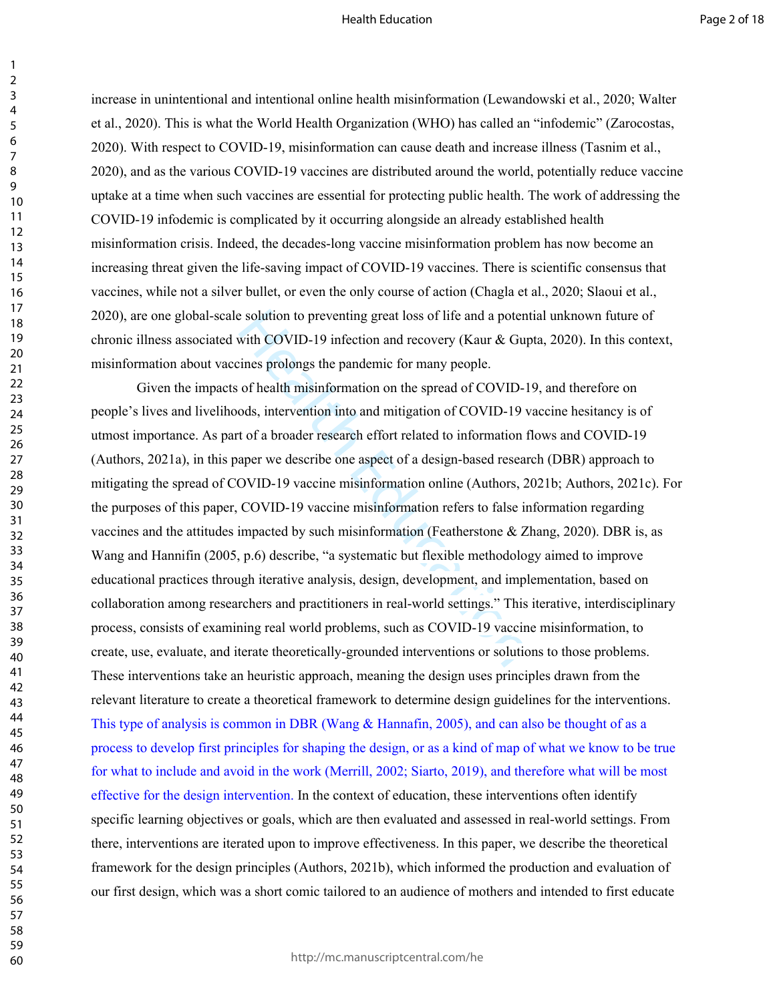increase in unintentional and intentional online health misinformation (Lewandowski et al., 2020; Walter et al., 2020). This is what the World Health Organization (WHO) has called an "infodemic" (Zarocostas, 2020). With respect to COVID-19, misinformation can cause death and increase illness (Tasnim et al., 2020), and as the various COVID-19 vaccines are distributed around the world, potentially reduce vaccine uptake at a time when such vaccines are essential for protecting public health. The work of addressing the COVID-19 infodemic is complicated by it occurring alongside an already established health misinformation crisis. Indeed, the decades-long vaccine misinformation problem has now become an increasing threat given the life-saving impact of COVID-19 vaccines. There is scientific consensus that vaccines, while not a silver bullet, or even the only course of action (Chagla et al., 2020; Slaoui et al., 2020), are one global-scale solution to preventing great loss of life and a potential unknown future of chronic illness associated with COVID-19 infection and recovery (Kaur & Gupta, 2020). In this context, misinformation about vaccines prolongs the pandemic for many people.

e solution to preventing great loss of life and a poten<br>with COVID-19 infection and recovery (Kaur & Guy<br>imes prolongs the pandemic for many people.<br>of health misinformation on the spread of COVID-19<br>ods, intervention into Given the impacts of health misinformation on the spread of COVID-19, and therefore on people's lives and livelihoods, intervention into and mitigation of COVID-19 vaccine hesitancy is of utmost importance. As part of a broader research effort related to information flows and COVID-19 (Authors, 2021a), in this paper we describe one aspect of a design-based research (DBR) approach to mitigating the spread of COVID-19 vaccine misinformation online (Authors, 2021b; Authors, 2021c). For the purposes of this paper, COVID-19 vaccine misinformation refers to false information regarding vaccines and the attitudes impacted by such misinformation (Featherstone & Zhang, 2020). DBR is, as Wang and Hannifin (2005, p.6) describe, "a systematic but flexible methodology aimed to improve educational practices through iterative analysis, design, development, and implementation, based on collaboration among researchers and practitioners in real-world settings." This iterative, interdisciplinary process, consists of examining real world problems, such as COVID-19 vaccine misinformation, to create, use, evaluate, and iterate theoretically-grounded interventions or solutions to those problems. These interventions take an heuristic approach, meaning the design uses principles drawn from the relevant literature to create a theoretical framework to determine design guidelines for the interventions. This type of analysis is common in DBR (Wang & Hannafin, 2005), and can also be thought of as a process to develop first principles for shaping the design, or as a kind of map of what we know to be true for what to include and avoid in the work (Merrill, 2002; Siarto, 2019), and therefore what will be most effective for the design intervention. In the context of education, these interventions often identify specific learning objectives or goals, which are then evaluated and assessed in real-world settings. From there, interventions are iterated upon to improve effectiveness. In this paper, we describe the theoretical framework for the design principles (Authors, 2021b), which informed the production and evaluation of our first design, which was a short comic tailored to an audience of mothers and intended to first educate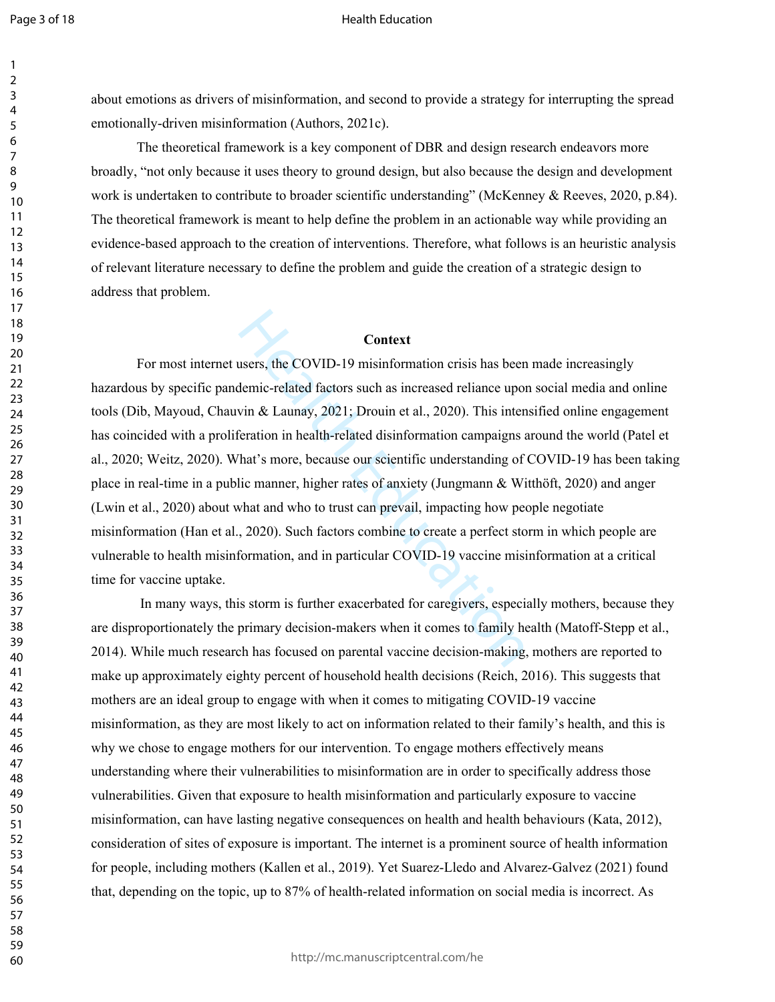#### Health Education

about emotions as drivers of misinformation, and second to provide a strategy for interrupting the spread emotionally-driven misinformation (Authors, 2021c).

The theoretical framework is a key component of DBR and design research endeavors more broadly, "not only because it uses theory to ground design, but also because the design and development work is undertaken to contribute to broader scientific understanding" (McKenney & Reeves, 2020, p.84). The theoretical framework is meant to help define the problem in an actionable way while providing an evidence-based approach to the creation of interventions. Therefore, what follows is an heuristic analysis of relevant literature necessary to define the problem and guide the creation of a strategic design to address that problem.

## **Context**

**Context**<br>Context<br>users, the COVID-19 misinformation crisis has been<br>demic-related factors such as increased reliance upor<br>vin & Launay, 2021; Drouin et al., 2020). This inten<br>eration in health-related disinformation campa For most internet users, the COVID-19 misinformation crisis has been made increasingly hazardous by specific pandemic-related factors such as increased reliance upon social media and online tools (Dib, Mayoud, Chauvin & Launay, 2021; Drouin et al., 2020). This intensified online engagement has coincided with a proliferation in health-related disinformation campaigns around the world (Patel et al., 2020; Weitz, 2020). What's more, because our scientific understanding of COVID-19 has been taking place in real-time in a public manner, higher rates of anxiety (Jungmann & Witthöft, 2020) and anger (Lwin et al., 2020) about what and who to trust can prevail, impacting how people negotiate misinformation (Han et al., 2020). Such factors combine to create a perfect storm in which people are vulnerable to health misinformation, and in particular COVID-19 vaccine misinformation at a critical time for vaccine uptake.

 In many ways, this storm is further exacerbated for caregivers, especially mothers, because they are disproportionately the primary decision-makers when it comes to family health (Matoff-Stepp et al., 2014). While much research has focused on parental vaccine decision-making, mothers are reported to make up approximately eighty percent of household health decisions (Reich, 2016). This suggests that mothers are an ideal group to engage with when it comes to mitigating COVID-19 vaccine misinformation, as they are most likely to act on information related to their family's health, and this is why we chose to engage mothers for our intervention. To engage mothers effectively means understanding where their vulnerabilities to misinformation are in order to specifically address those vulnerabilities. Given that exposure to health misinformation and particularly exposure to vaccine misinformation, can have lasting negative consequences on health and health behaviours (Kata, 2012), consideration of sites of exposure is important. The internet is a prominent source of health information for people, including mothers (Kallen et al., 2019). Yet Suarez-Lledo and Alvarez-Galvez (2021) found that, depending on the topic, up to 87% of health-related information on social media is incorrect. As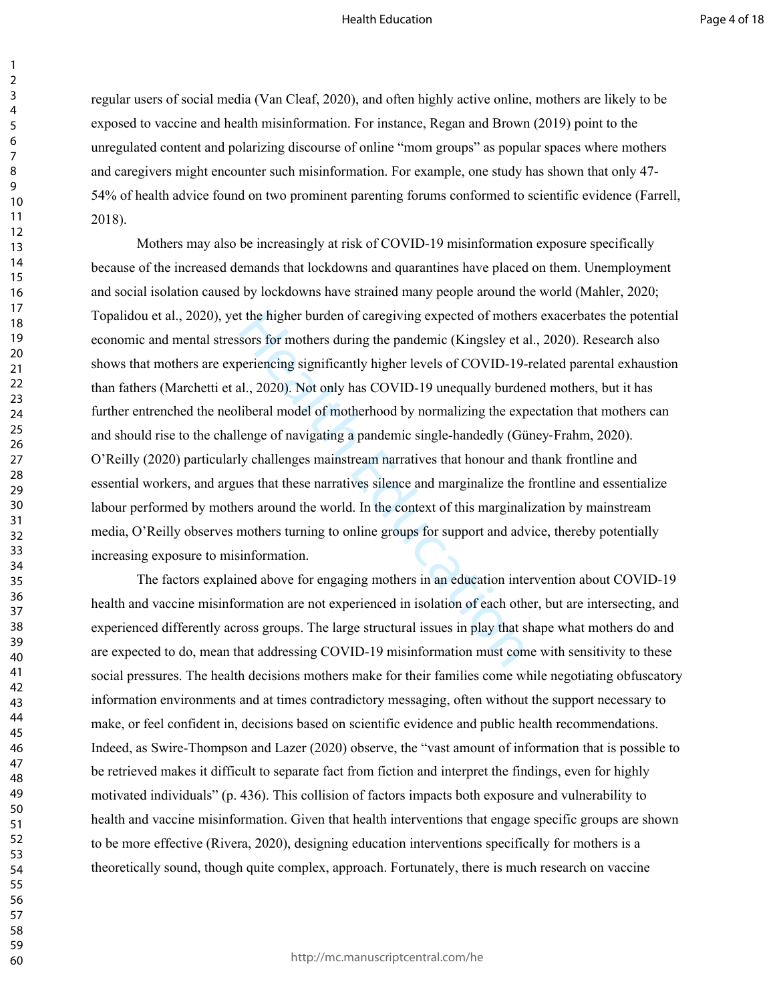regular users of social media (Van Cleaf, 2020), and often highly active online, mothers are likely to be exposed to vaccine and health misinformation. For instance, Regan and Brown (2019) point to the unregulated content and polarizing discourse of online "mom groups" as popular spaces where mothers and caregivers might encounter such misinformation. For example, one study has shown that only 47- 54% of health advice found on two prominent parenting forums conformed to scientific evidence (Farrell, 2018).

t the higher burden of caregiving expected of mothe<br>sors for mothers during the pandemic (Kingsley et a<br>beriencing significantly higher levels of COVID-19-<br>al., 2020). Not only has COVID-19 unequally burdel<br>liberal model o Mothers may also be increasingly at risk of COVID-19 misinformation exposure specifically because of the increased demands that lockdowns and quarantines have placed on them. Unemployment and social isolation caused by lockdowns have strained many people around the world (Mahler, 2020; Topalidou et al., 2020), yet the higher burden of caregiving expected of mothers exacerbates the potential economic and mental stressors for mothers during the pandemic (Kingsley et al., 2020). Research also shows that mothers are experiencing significantly higher levels of COVID-19-related parental exhaustion than fathers (Marchetti et al., 2020). Not only has COVID-19 unequally burdened mothers, but it has further entrenched the neoliberal model of motherhood by normalizing the expectation that mothers can and should rise to the challenge of navigating a pandemic single-handedly (Güney‐Frahm, 2020). O'Reilly (2020) particularly challenges mainstream narratives that honour and thank frontline and essential workers, and argues that these narratives silence and marginalize the frontline and essentialize labour performed by mothers around the world. In the context of this marginalization by mainstream media, O'Reilly observes mothers turning to online groups for support and advice, thereby potentially increasing exposure to misinformation.

The factors explained above for engaging mothers in an education intervention about COVID-19 health and vaccine misinformation are not experienced in isolation of each other, but are intersecting, and experienced differently across groups. The large structural issues in play that shape what mothers do and are expected to do, mean that addressing COVID-19 misinformation must come with sensitivity to these social pressures. The health decisions mothers make for their families come while negotiating obfuscatory information environments and at times contradictory messaging, often without the support necessary to make, or feel confident in, decisions based on scientific evidence and public health recommendations. Indeed, as Swire-Thompson and Lazer (2020) observe, the "vast amount of information that is possible to be retrieved makes it difficult to separate fact from fiction and interpret the findings, even for highly motivated individuals" (p. 436). This collision of factors impacts both exposure and vulnerability to health and vaccine misinformation. Given that health interventions that engage specific groups are shown to be more effective (Rivera, 2020), designing education interventions specifically for mothers is a theoretically sound, though quite complex, approach. Fortunately, there is much research on vaccine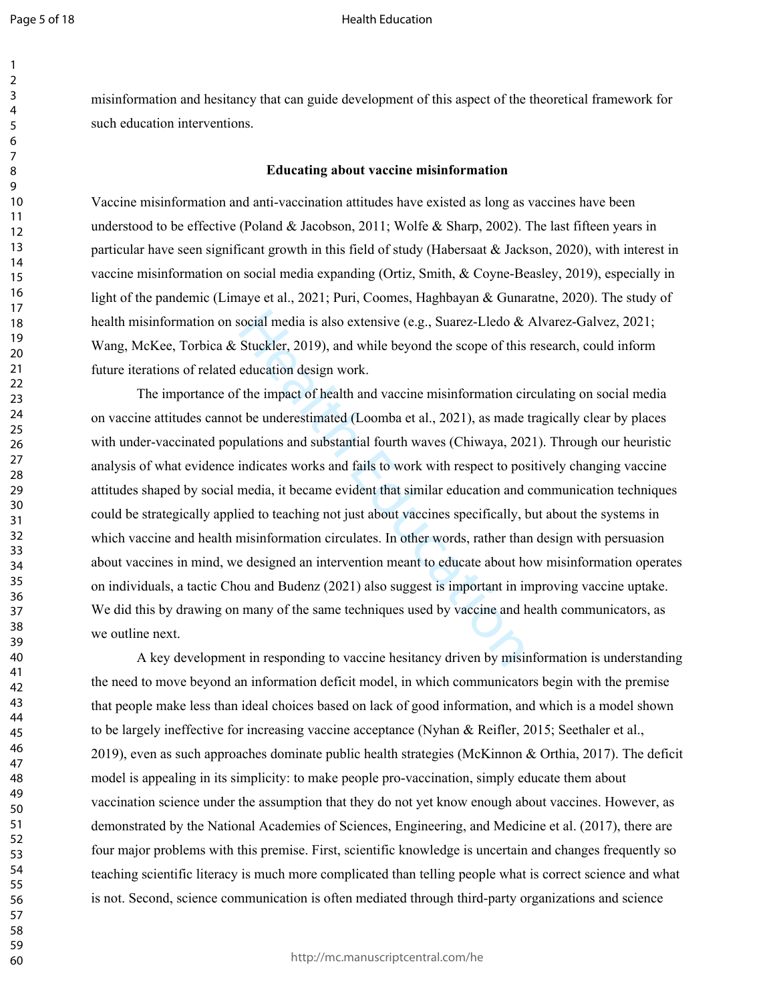#### Health Education

misinformation and hesitancy that can guide development of this aspect of the theoretical framework for such education interventions.

## **Educating about vaccine misinformation**

Vaccine misinformation and anti-vaccination attitudes have existed as long as vaccines have been understood to be effective (Poland & Jacobson, 2011; Wolfe & Sharp, 2002). The last fifteen years in particular have seen significant growth in this field of study (Habersaat & Jackson, 2020), with interest in vaccine misinformation on social media expanding (Ortiz, Smith, & Coyne-Beasley, 2019), especially in light of the pandemic (Limaye et al., 2021; Puri, Coomes, Haghbayan & Gunaratne, 2020). The study of health misinformation on social media is also extensive (e.g., Suarez-Lledo & Alvarez-Galvez, 2021; Wang, McKee, Torbica & Stuckler, 2019), and while beyond the scope of this research, could inform future iterations of related education design work.

social media is also extensive (e.g., Suarez-Lledo & Stuckler, 2019), and while beyond the scope of this education design work.<br>
The impact of health and vaccine misinformation cinculation design work.<br>
The impact of heal The importance of the impact of health and vaccine misinformation circulating on social media on vaccine attitudes cannot be underestimated (Loomba et al., 2021), as made tragically clear by places with under-vaccinated populations and substantial fourth waves (Chiwaya, 2021). Through our heuristic analysis of what evidence indicates works and fails to work with respect to positively changing vaccine attitudes shaped by social media, it became evident that similar education and communication techniques could be strategically applied to teaching not just about vaccines specifically, but about the systems in which vaccine and health misinformation circulates. In other words, rather than design with persuasion about vaccines in mind, we designed an intervention meant to educate about how misinformation operates on individuals, a tactic Chou and Budenz (2021) also suggest is important in improving vaccine uptake. We did this by drawing on many of the same techniques used by vaccine and health communicators, as we outline next.

A key development in responding to vaccine hesitancy driven by misinformation is understanding the need to move beyond an information deficit model, in which communicators begin with the premise that people make less than ideal choices based on lack of good information, and which is a model shown to be largely ineffective for increasing vaccine acceptance (Nyhan & Reifler, 2015; Seethaler et al., 2019), even as such approaches dominate public health strategies (McKinnon & Orthia, 2017). The deficit model is appealing in its simplicity: to make people pro-vaccination, simply educate them about vaccination science under the assumption that they do not yet know enough about vaccines. However, as demonstrated by the National Academies of Sciences, Engineering, and Medicine et al. (2017), there are four major problems with this premise. First, scientific knowledge is uncertain and changes frequently so teaching scientific literacy is much more complicated than telling people what is correct science and what is not. Second, science communication is often mediated through third-party organizations and science

http://mc.manuscriptcentral.com/he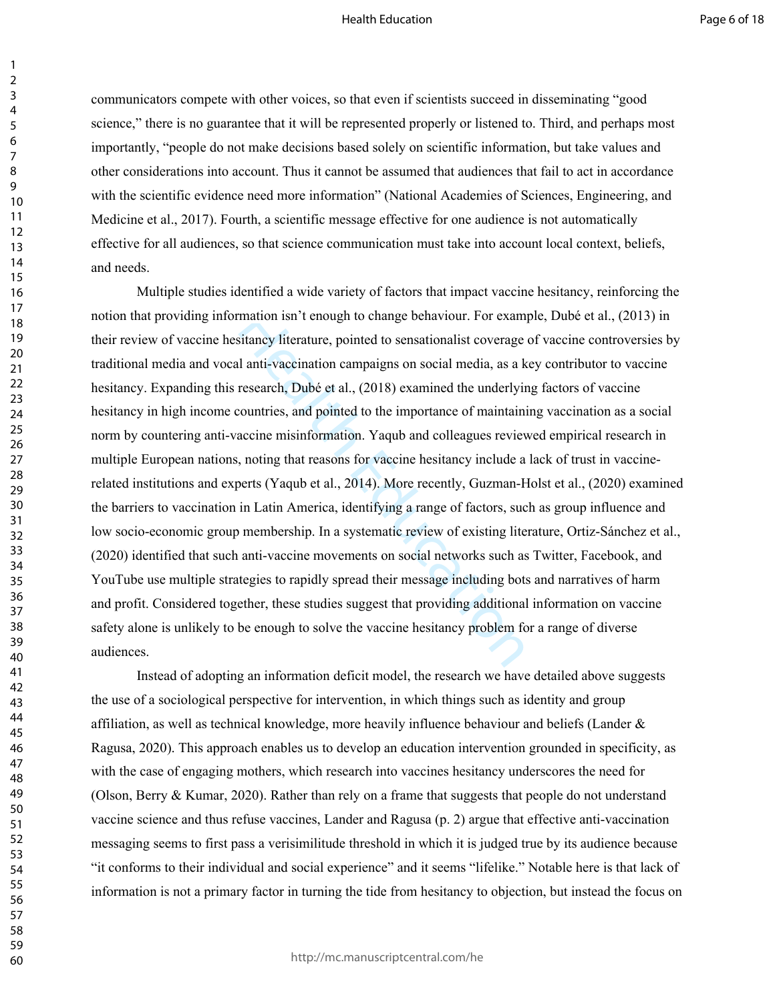communicators compete with other voices, so that even if scientists succeed in disseminating "good science," there is no guarantee that it will be represented properly or listened to. Third, and perhaps most importantly, "people do not make decisions based solely on scientific information, but take values and other considerations into account. Thus it cannot be assumed that audiences that fail to act in accordance with the scientific evidence need more information" (National Academies of Sciences, Engineering, and Medicine et al., 2017). Fourth, a scientific message effective for one audience is not automatically effective for all audiences, so that science communication must take into account local context, beliefs, and needs.

mation isn't enough to change behaviour. For exam-<br>sitancy literature, pointed to sensation[al](https://pubmed.ncbi.nlm.nih.gov/?term=Dub%C3%A9+E&cauthor_id=30359151)ist coverage<br>1 anti-vaccination campaigns on social media, as a k<br>research, Dubé et al., (2018) examined the underlyir<br>countries, Multiple studies identified a wide variety of factors that impact vaccine hesitancy, reinforcing the notion that providing information isn't enough to change behaviour. For example, Dubé et al., (2013) in their review of vaccine hesitancy literature, pointed to sensationalist coverage of vaccine controversies by traditional media and vocal anti-vaccination campaigns on social media, as a key contributor to vaccine hesitancy. Expanding this research, Dubé et al., (2018) examined the underlying factors of vaccine hesitancy in high income countries, and pointed to the importance of maintaining vaccination as a social norm by countering anti-vaccine misinformation. Yaqub and colleagues reviewed empirical research in multiple European nations, noting that reasons for vaccine hesitancy include a lack of trust in vaccinerelated institutions and experts (Yaqub et al., 2014). More recently, Guzman-Holst et al., (2020) examined the barriers to vaccination in Latin America, identifying a range of factors, such as group influence and low socio-economic group membership. In a systematic review of existing literature, Ortiz-Sánchez et al., (2020) identified that such anti-vaccine movements on social networks such as Twitter, Facebook, and YouTube use multiple strategies to rapidly spread their message including bots and narratives of harm and profit. Considered together, these studies suggest that providing additional information on vaccine safety alone is unlikely to be enough to solve the vaccine hesitancy problem for a range of diverse audiences.

Instead of adopting an information deficit model, the research we have detailed above suggests the use of a sociological perspective for intervention, in which things such as identity and group affiliation, as well as technical knowledge, more heavily influence behaviour and beliefs (Lander & Ragusa, 2020). This approach enables us to develop an education intervention grounded in specificity, as with the case of engaging mothers, which research into vaccines hesitancy underscores the need for (Olson, Berry & Kumar, 2020). Rather than rely on a frame that suggests that people do not understand vaccine science and thus refuse vaccines, Lander and Ragusa (p. 2) argue that effective anti-vaccination messaging seems to first pass a verisimilitude threshold in which it is judged true by its audience because "it conforms to their individual and social experience" and it seems "lifelike." Notable here is that lack of information is not a primary factor in turning the tide from hesitancy to objection, but instead the focus on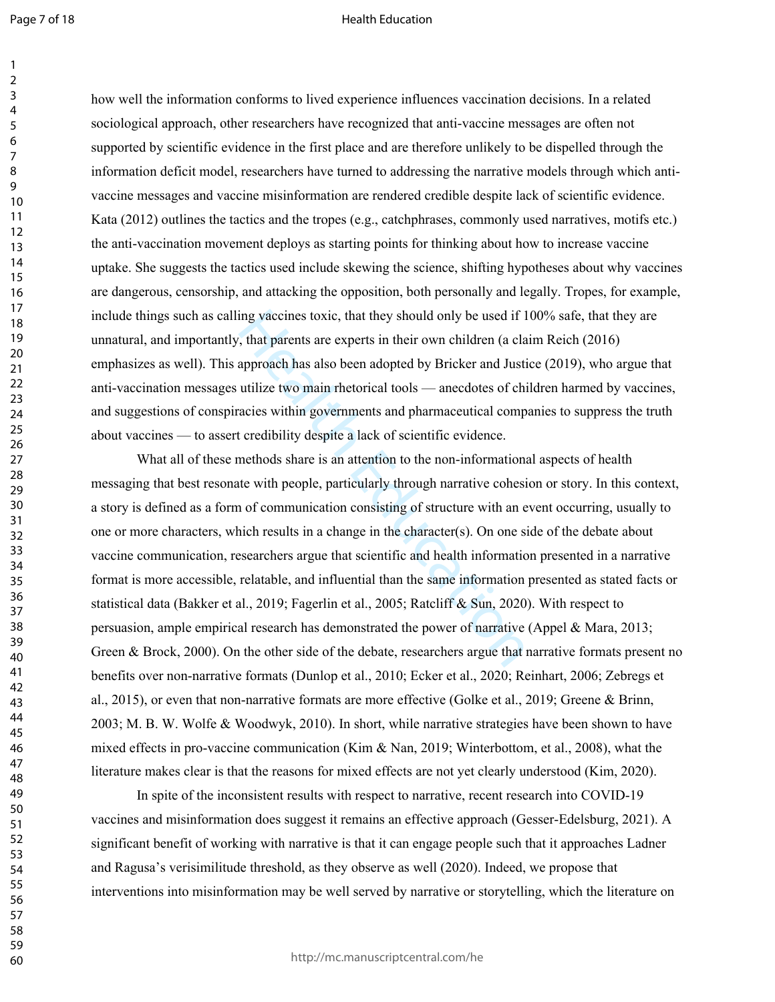how well the information conforms to lived experience influences vaccination decisions. In a related sociological approach, other researchers have recognized that anti-vaccine messages are often not supported by scientific evidence in the first place and are therefore unlikely to be dispelled through the information deficit model, researchers have turned to addressing the narrative models through which antivaccine messages and vaccine misinformation are rendered credible despite lack of scientific evidence. Kata (2012) outlines the tactics and the tropes (e.g., catchphrases, commonly used narratives, motifs etc.) the anti-vaccination movement deploys as starting points for thinking about how to increase vaccine uptake. She suggests the tactics used include skewing the science, shifting hypotheses about why vaccines are dangerous, censorship, and attacking the opposition, both personally and legally. Tropes, for example, include things such as calling vaccines toxic, that they should only be used if 100% safe, that they are unnatural, and importantly, that parents are experts in their own children (a claim Reich (2016) emphasizes as well). This approach has also been adopted by Bricker and Justice (2019), who argue that anti-vaccination messages utilize two main rhetorical tools — anecdotes of children harmed by vaccines, and suggestions of conspiracies within governments and pharmaceutical companies to suppress the truth about vaccines — to assert credibility despite a lack of scientific evidence.

ing vaccines toxic, that they should only be used if 1, that parents are experts in their own children (a cla<br>approach has also been adopted by Bricker and Justi<br>utilize two main rhetorical tools — anecdotes of chi<br>acies What all of these methods share is an attention to the non-informational aspects of health messaging that best resonate with people, particularly through narrative cohesion or story. In this context, a story is defined as a form of communication consisting of structure with an event occurring, usually to one or more characters, which results in a change in the character(s). On one side of the debate about vaccine communication, researchers argue that scientific and health information presented in a narrative format is more accessible, relatable, and influential than the same information presented as stated facts or statistical data (Bakker et al., 2019; Fagerlin et al., 2005; Ratcliff & Sun, 2020). With respect to persuasion, ample empirical research has demonstrated the power of narrative (Appel & Mara, 2013; Green & Brock, 2000). On the other side of the debate, researchers argue that narrative formats present no benefits over non-narrative formats (Dunlop et al., 2010; Ecker et al., 2020; Reinhart, 2006; Zebregs et al., 2015), or even that non-narrative formats are more effective (Golke et al., 2019; Greene & Brinn, 2003; M. B. W. Wolfe & Woodwyk, 2010). In short, while narrative strategies have been shown to have mixed effects in pro-vaccine communication (Kim & Nan, 2019; Winterbottom, et al., 2008), what the literature makes clear is that the reasons for mixed effects are not yet clearly understood (Kim, 2020).

In spite of the inconsistent results with respect to narrative, recent research into COVID-19 vaccines and misinformation does suggest it remains an effective approach (Gesser-Edelsburg, 2021). A significant benefit of working with narrative is that it can engage people such that it approaches Ladner and Ragusa's verisimilitude threshold, as they observe as well (2020). Indeed, we propose that interventions into misinformation may be well served by narrative or storytelling, which the literature on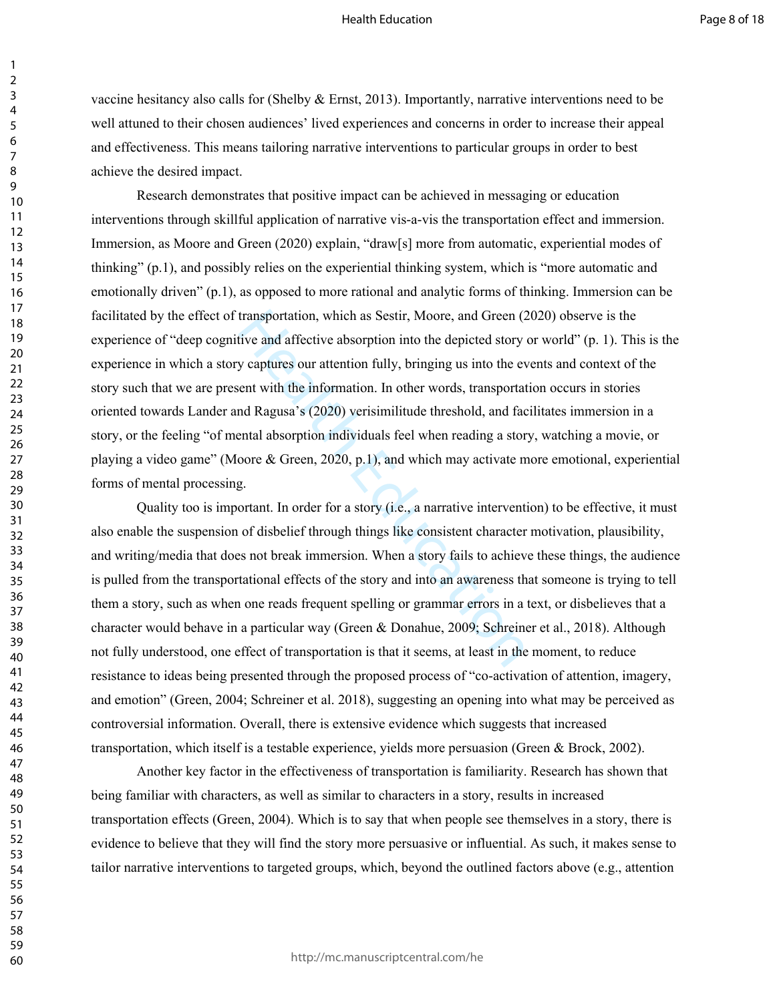vaccine hesitancy also calls for (Shelby & Ernst, 2013). Importantly, narrative interventions need to be well attuned to their chosen audiences' lived experiences and concerns in order to increase their appeal and effectiveness. This means tailoring narrative interventions to particular groups in order to best achieve the desired impact.

transportation, which as Sestir, Moore, and Green (2<br>tive and affective absorption into the depicted story<br>y captures our attention fully, bringing us into the ev<br>ent with the information. In other words, transportat<br>nd Ra Research demonstrates that positive impact can be achieved in messaging or education interventions through skillful application of narrative vis-a-vis the transportation effect and immersion. Immersion, as Moore and Green (2020) explain, "draw[s] more from automatic, experiential modes of thinking" (p.1), and possibly relies on the experiential thinking system, which is "more automatic and emotionally driven" (p.1), as opposed to more rational and analytic forms of thinking. Immersion can be facilitated by the effect of transportation, which as Sestir, Moore, and Green (2020) observe is the experience of "deep cognitive and affective absorption into the depicted story or world" (p. 1). This is the experience in which a story captures our attention fully, bringing us into the events and context of the story such that we are present with the information. In other words, transportation occurs in stories oriented towards Lander and Ragusa's (2020) verisimilitude threshold, and facilitates immersion in a story, or the feeling "of mental absorption individuals feel when reading a story, watching a movie, or playing a video game" (Moore & Green, 2020, p.1), and which may activate more emotional, experiential forms of mental processing.

Quality too is important. In order for a story (i.e., a narrative intervention) to be effective, it must also enable the suspension of disbelief through things like consistent character motivation, plausibility, and writing/media that does not break immersion. When a story fails to achieve these things, the audience is pulled from the transportational effects of the story and into an awareness that someone is trying to tell them a story, such as when one reads frequent spelling or grammar errors in a text, or disbelieves that a character would behave in a particular way (Green & Donahue, 2009; Schreiner et al., 2018). Although not fully understood, one effect of transportation is that it seems, at least in the moment, to reduce resistance to ideas being presented through the proposed process of "co-activation of attention, imagery, and emotion" (Green, 2004; Schreiner et al. 2018), suggesting an opening into what may be perceived as controversial information. Overall, there is extensive evidence which suggests that increased transportation, which itself is a testable experience, yields more persuasion (Green & Brock, 2002).

Another key factor in the effectiveness of transportation is familiarity. Research has shown that being familiar with characters, as well as similar to characters in a story, results in increased transportation effects (Green, 2004). Which is to say that when people see themselves in a story, there is evidence to believe that they will find the story more persuasive or influential. As such, it makes sense to tailor narrative interventions to targeted groups, which, beyond the outlined factors above (e.g., attention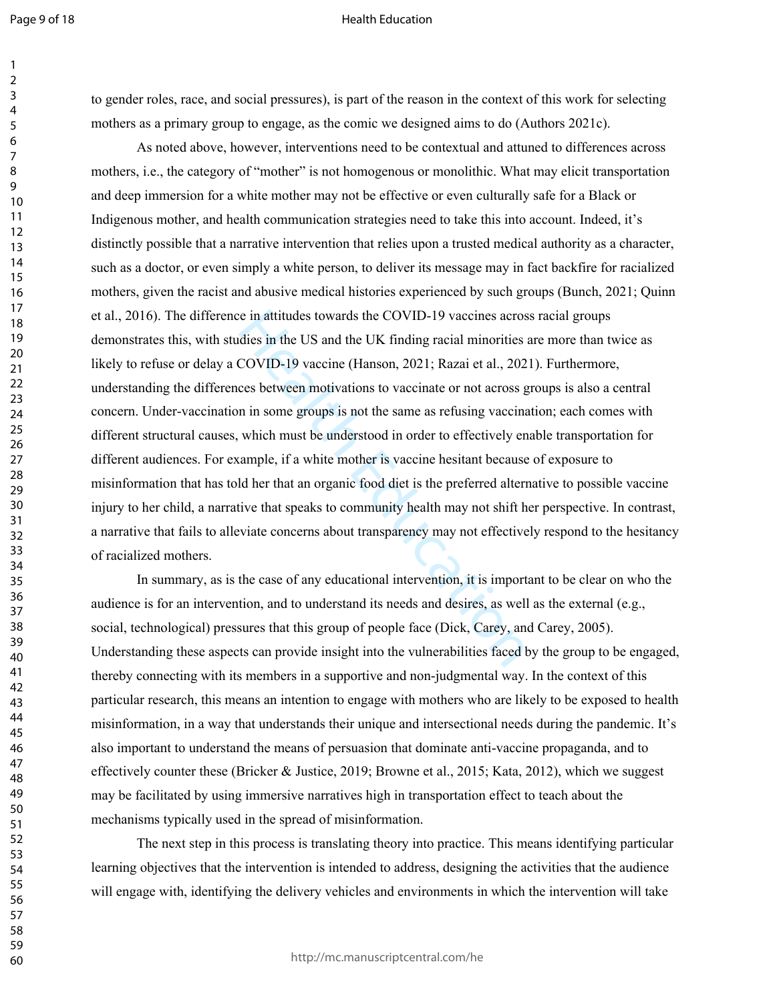#### Health Education

to gender roles, race, and social pressures), is part of the reason in the context of this work for selecting mothers as a primary group to engage, as the comic we designed aims to do (Authors 2021c).

is in the US and the COVID-19 vaccines acros<br>dies in the US and the UK finding racial minorities<br>COVID-19 vaccine (Hanson, 2021; Razai et al., 202<br>ces between motivations to vaccinate or not across g<br>n in some groups is no As noted above, however, interventions need to be contextual and attuned to differences across mothers, i.e., the category of "mother" is not homogenous or monolithic. What may elicit transportation and deep immersion for a white mother may not be effective or even culturally safe for a Black or Indigenous mother, and health communication strategies need to take this into account. Indeed, it's distinctly possible that a narrative intervention that relies upon a trusted medical authority as a character, such as a doctor, or even simply a white person, to deliver its message may in fact backfire for racialized mothers, given the racist and abusive medical histories experienced by such groups (Bunch, 2021; Quinn et al., 2016). The difference in attitudes towards the COVID-19 vaccines across racial groups demonstrates this, with studies in the US and the UK finding racial minorities are more than twice as likely to refuse or delay a COVID-19 vaccine (Hanson, 2021; Razai et al., 2021). Furthermore, understanding the differences between motivations to vaccinate or not across groups is also a central concern. Under-vaccination in some groups is not the same as refusing vaccination; each comes with different structural causes, which must be understood in order to effectively enable transportation for different audiences. For example, if a white mother is vaccine hesitant because of exposure to misinformation that has told her that an organic food diet is the preferred alternative to possible vaccine injury to her child, a narrative that speaks to community health may not shift her perspective. In contrast, a narrative that fails to alleviate concerns about transparency may not effectively respond to the hesitancy of racialized mothers.

In summary, as is the case of any educational intervention, it is important to be clear on who the audience is for an intervention, and to understand its needs and desires, as well as the external (e.g., social, technological) pressures that this group of people face (Dick, Carey, and Carey, 2005). Understanding these aspects can provide insight into the vulnerabilities faced by the group to be engaged, thereby connecting with its members in a supportive and non-judgmental way. In the context of this particular research, this means an intention to engage with mothers who are likely to be exposed to health misinformation, in a way that understands their unique and intersectional needs during the pandemic. It's also important to understand the means of persuasion that dominate anti-vaccine propaganda, and to effectively counter these (Bricker & Justice, 2019; Browne et al., 2015; Kata, 2012), which we suggest may be facilitated by using immersive narratives high in transportation effect to teach about the mechanisms typically used in the spread of misinformation.

The next step in this process is translating theory into practice. This means identifying particular learning objectives that the intervention is intended to address, designing the activities that the audience will engage with, identifying the delivery vehicles and environments in which the intervention will take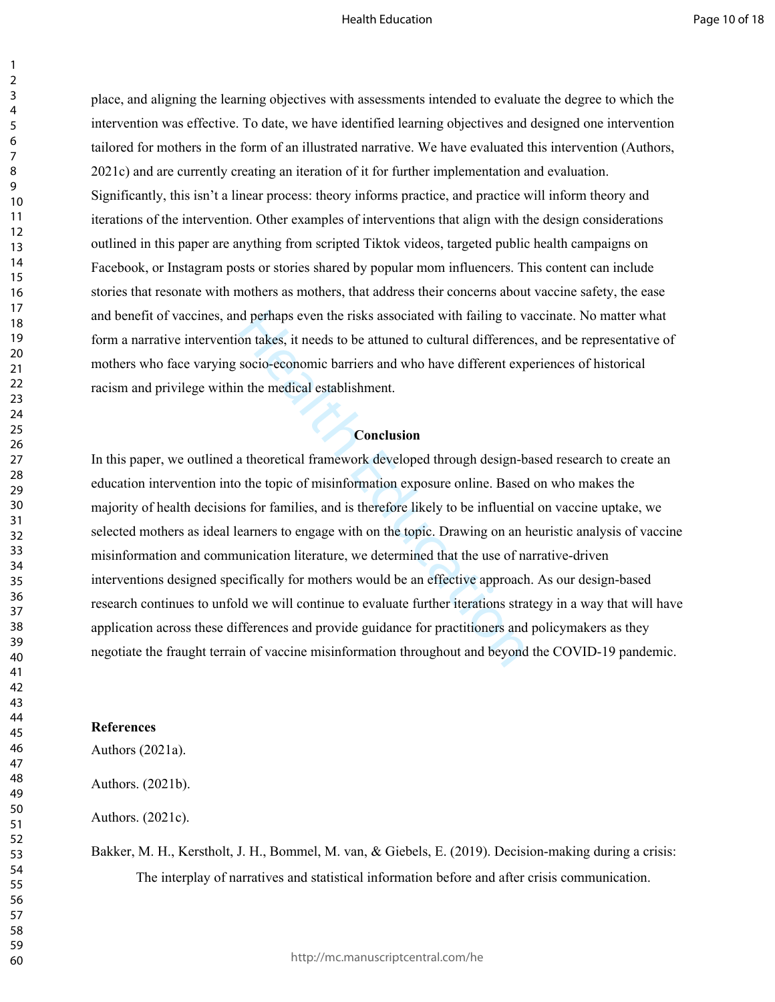place, and aligning the learning objectives with assessments intended to evaluate the degree to which the intervention was effective. To date, we have identified learning objectives and designed one intervention tailored for mothers in the form of an illustrated narrative. We have evaluated this intervention (Authors, 2021c) and are currently creating an iteration of it for further implementation and evaluation. Significantly, this isn't a linear process: theory informs practice, and practice will inform theory and iterations of the intervention. Other examples of interventions that align with the design considerations outlined in this paper are anything from scripted Tiktok videos, targeted public health campaigns on Facebook, or Instagram posts or stories shared by popular mom influencers. This content can include stories that resonate with mothers as mothers, that address their concerns about vaccine safety, the ease and benefit of vaccines, and perhaps even the risks associated with failing to vaccinate. No matter what form a narrative intervention takes, it needs to be attuned to cultural differences, and be representative of mothers who face varying socio-economic barriers and who have different experiences of historical racism and privilege within the medical establishment.

## **Conclusion**

d perhaps even the risks associated with failing to v<br>on takes, it needs to be attuned to cultural difference<br>socio-economic barriers and who have different exp<br>n the medical establishment.<br>**Conclusion**<br>a theoretical frame In this paper, we outlined a theoretical framework developed through design-based research to create an education intervention into the topic of misinformation exposure online. Based on who makes the majority of health decisions for families, and is therefore likely to be influential on vaccine uptake, we selected mothers as ideal learners to engage with on the topic. Drawing on an heuristic analysis of vaccine misinformation and communication literature, we determined that the use of narrative-driven interventions designed specifically for mothers would be an effective approach. As our design-based research continues to unfold we will continue to evaluate further iterations strategy in a way that will have application across these differences and provide guidance for practitioners and policymakers as they negotiate the fraught terrain of vaccine misinformation throughout and beyond the COVID-19 pandemic.

## **References**

Authors (2021a).

Authors. (2021b).

Authors. (2021c).

Bakker, M. H., Kerstholt, J. H., Bommel, M. van, & Giebels, E. (2019). Decision-making during a crisis: The interplay of narratives and statistical information before and after crisis communication.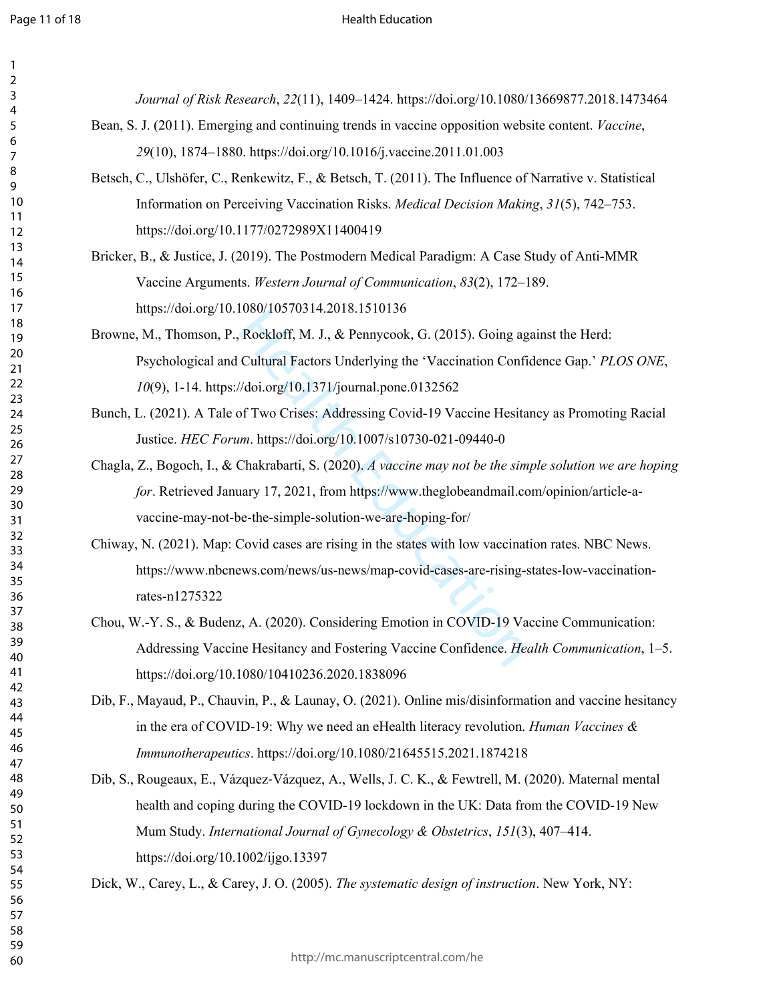$\mathbf{1}$  $\overline{2}$  $\overline{4}$  $\overline{7}$ 

#### Health Education

*Journal of Risk Research*, *22*(11), 1409–1424. https://doi.org/10.1080/13669877.2018.1473464

- Bean, S. J. (2011). Emerging and continuing trends in vaccine opposition website content. *Vaccine*, (10), 1874–1880. https://doi.org/10.1016/j.vaccine.2011.01.003
- Betsch, C., Ulshöfer, C., Renkewitz, F., & Betsch, T. (2011). The Influence of Narrative v. Statistical Information on Perceiving Vaccination Risks. *Medical Decision Making*, *31*(5), 742–753. https://doi.org/10.1177/0272989X11400419
- Bricker, B., & Justice, J. (2019). The Postmodern Medical Paradigm: A Case Study of Anti-MMR Vaccine Arguments. *Western Journal of Communication*, *83*(2), 172–189[.](https://doi.org/10.1080/10570314.2018.1510136)  <https://doi.org/10.1080/10570314.2018.1510136>
- Rockloff, M. J., & Pennycook, G. (2015). Going ag<br>Cultural Factors Underlying [th](https://doi.org/10.1007/s10730-021-09440-0)e 'Vaccination Confi<br>//doi.org/10.1371/journal.pone.0132562<br>of Two Crises: Addressing Covid-19 Vaccine Hesita<br>*m.* https://doi.org/10.1007/s10 Browne, M., Thomson, P., Rockloff, M. J., & Pennycook, G. (2015). Going against the Herd: Psychological and Cultural Factors Underlying the 'Vaccination Confidence Gap.' *PLOS ONE*, (9), 1-14. https://doi.org/10.1371/journal.pone.0132562
- Bunch, L. (2021). A Tale of Two Crises: Addressing Covid-19 Vaccine Hesitancy as Promoting Racial Justice. *HEC Forum*. https://doi.org/10.1007/s10730-021-09440-0
- Chagla, Z., Bogoch, I., & Chakrabarti, S. (2020). *A vaccine may not be the simple solution we are hoping for*. Retrieved January 17, 2021, from https://www.theglobeandmail.com/opinion/article-avaccine-may-not-be-the-simple-solution-we-are-hoping-for/
- Chiway, N. (2021). Map: Covid cases are rising in the states with low vaccination rates. NBC News. https://www.nbcnews.com/news/us-news/map-covid-cases-are-rising-states-low-vaccinationrates-n1275322
- Chou, W.-Y. S., & Budenz, A. (2020). Considering Emotion in COVID-19 Vaccine Communication: Addressing Vaccine Hesitancy and Fostering Vaccine Confidence. *Health Communication*, 1–5. https://doi.org/10.1080/10410236.2020.1838096
- Dib, F., Mayaud, P., Chauvin, P., & Launay, O. (2021). Online mis/disinformation and vaccine hesitancy in the era of COVID-19: Why we need an eHealth literacy revolution. *Human Vaccines & Immunotherapeutics*. https://doi.org/10.1080/21645515.2021.1874218
- Dib, S., Rougeaux, E., Vázquez-Vázquez, A., Wells, J. C. K., & Fewtrell, M. (2020). Maternal mental health and coping during the COVID-19 lockdown in the UK: Data from the COVID-19 New Mum Study. *International Journal of Gynecology & Obstetrics*, *151*(3), 407–414. https://doi.org/10.1002/ijgo.13397

Dick, W., Carey, L., & Carey, J. O. (2005). *The systematic design of instruction*. New York, NY: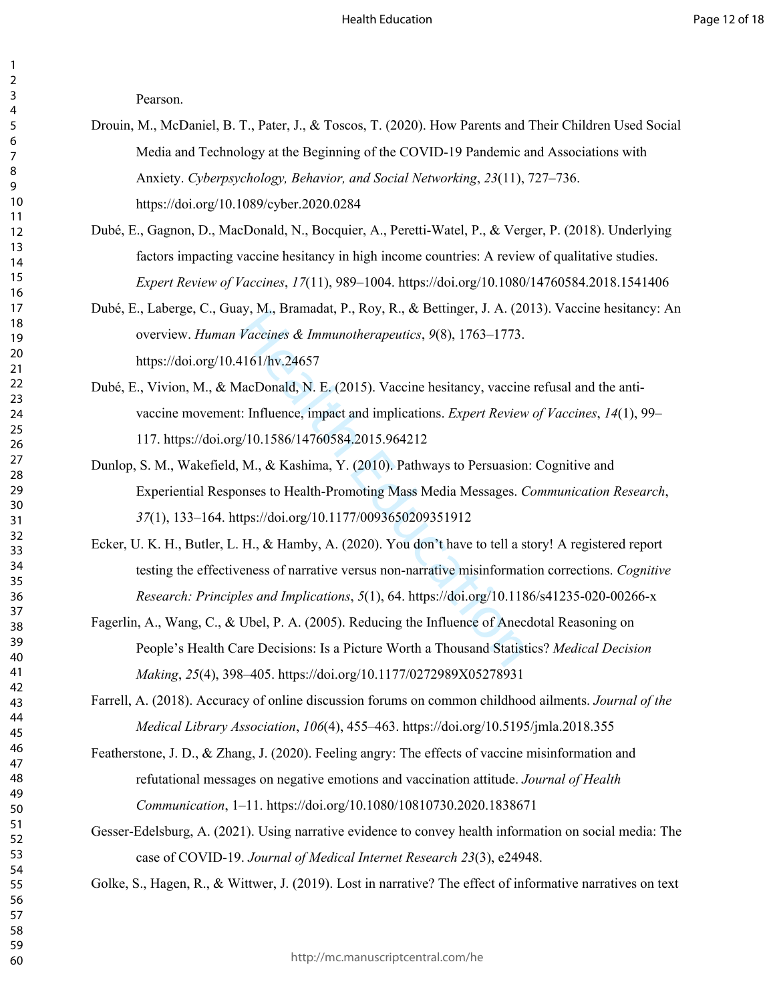Pearson.

- Drouin, M., McDaniel, B. T., Pater, J., & Toscos, T. (2020). How Parents and Their Children Used Social Media and Technology at the Beginning of the COVID-19 Pandemic and Associations with Anxiety. *Cyberpsychology, Behavior, and Social Networking*, *23*(11), 727–736. https://doi.org/10.1089/cyber.2020.0284
- Dubé, E., Gagnon, D., MacDonald, N., Bocquier, A., Peretti-Watel, P., & Verger, P. (2018). Underlying factors impacting vaccine hesitancy in high income countries: A review of qualitative studies. *Expert Review of Vaccines*, *17*(11), 989–1004. https://doi.org/10.1080/14760584.2018.1541406
- Dubé, E., Laberge, C., Guay, M., Bramadat, P., Roy, R., & Bettinger, J. A. (2013). Vaccine hesitancy: An overview. *Human Vaccines & Immunotherapeutics*, *9*(8), 1763–1773. https://doi.org/10.4161/hv.24657
- y, M., Bramadat, P., Koy, K., & Bettinger, J. A. (20<br>Vaccines & Immunotherapeutics, 9(8), 1763–1773.<br>4161/hv.24657<br>facDonald, N. E. (2015). Vaccine hesitancy, vaccine<br>1: Influence, impact and implications. *Expert Review*<br> Dubé, E., Vivion, M., & MacDonald, N. E. (2015). Vaccine hesitancy, vaccine refusal and the antivaccine movement: Influence, impact and implications. *Expert Review of Vaccines*, *14*(1), 99– 117. https://doi.org/10.1586/14760584.2015.964212
- Dunlop, S. M., Wakefield, M., & Kashima, Y. (2010). Pathways to Persuasion: Cognitive and Experiential Responses to Health-Promoting Mass Media Messages. *Communication Research*, (1), 133–164. https://doi.org/10.1177/0093650209351912
- Ecker, U. K. H., Butler, L. H., & Hamby, A. (2020). You don't have to tell a story! A registered report testing the effectiveness of narrative versus non-narrative misinformation corrections. *Cognitive Research: Principles and Implications*, *5*(1), 64. https://doi.org/10.1186/s41235-020-00266-x
- Fagerlin, A., Wang, C., & Ubel, P. A. (2005). Reducing the Influence of Anecdotal Reasoning on People's Health Care Decisions: Is a Picture Worth a Thousand Statistics? *Medical Decision Making*, *25*(4), 398–405. <https://doi.org/10.1177/0272989X05278931>

Farrell, A. (2018). Accuracy of online discussion forums on common childhood ailments. *Journal of the Medical Library Association*, *106*(4), 455–463.<https://doi.org/10.5195/jmla.2018.355>

- Featherstone, J. D., & Zhang, J. (2020). Feeling angry: The effects of vaccine misinformation and refutational messages on negative emotions and vaccination attitude. *Journal of Health Communication*, 1–11. https://doi.org/10.1080/10810730.2020.1838671
- Gesser-Edelsburg, A. (2021). Using narrative evidence to convey health information on social media: The case of COVID-19. *Journal of Medical Internet Research 23*(3), e24948.

Golke, S., Hagen, R., & Wittwer, J. (2019). Lost in narrative? The effect of informative narratives on text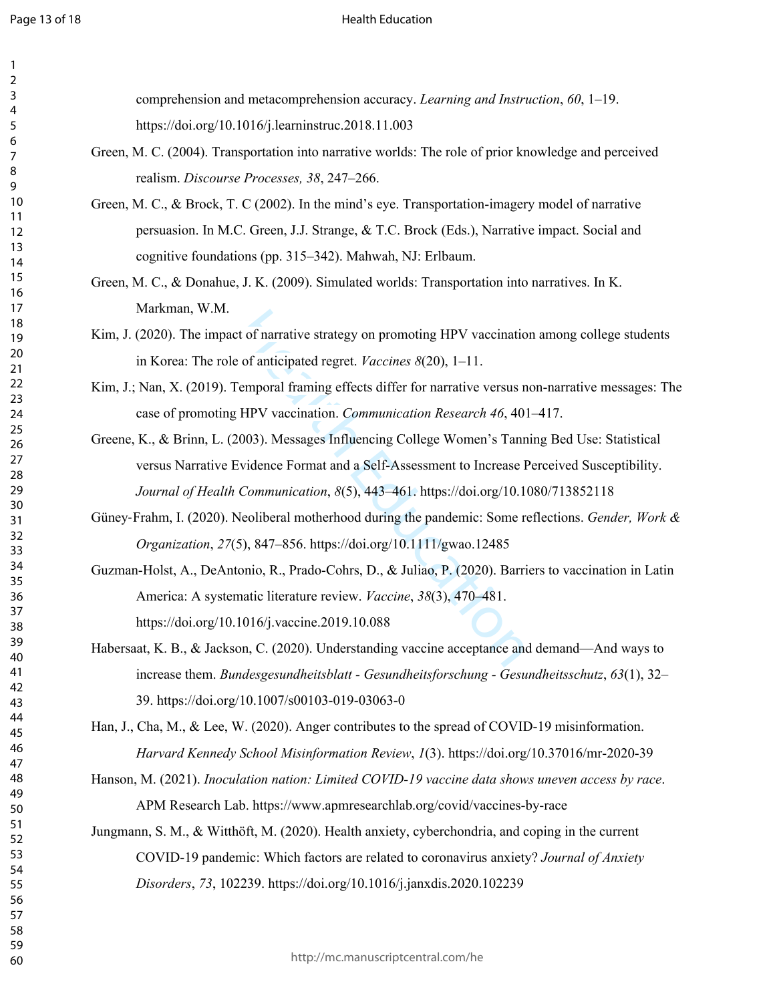## Health Education

comprehension and metacomprehension accuracy. *Learning and Instruction*, *60*, 1–19. https://doi.org/10.1016/j.learninstruc.2018.11.003

- Green, M. C. (2004). Transportation into narrative worlds: The role of prior knowledge and perceived realism. *Discourse Processes, 38*, 247–266.
- Green, M. C., & Brock, T. C (2002). In the mind's eye. Transportation-imagery model of narrative persuasion. In M.C. Green, J.J. Strange, & T.C. Brock (Eds.), Narrative impact. Social and cognitive foundations (pp. 315–342). Mahwah, NJ: Erlbaum.
- Green, M. C., & Donahue, J. K. (2009). Simulated worlds: Transportation into narratives. In K. Markman, W.M.
- Kim, J. (2020). The impact of narrative strategy on promoting HPV vaccination among college students in Korea: The role of anticipated regret. *Vaccines 8*(20), 1–11.
- Kim, J.; Nan, X. (2019). Temporal framing effects differ for narrative versus non-narrative messages: The case of promoting HPV vaccination. *Communication Research 46*, 401–417.
- Greene, K., & Brinn, L. (2003). Messages Influencing College Women's Tanning Bed Use: Statistical versus Narrative Evidence Format and a Self-Assessment to Increase Perceived Susceptibility. *Journal of Health Communication*, *8*(5), 443–461.<https://doi.org/10.1080/713852118>
- Güney ‐Frahm, I. (2020). Neoliberal motherhood during the pandemic: Some reflections. *Gender, Work & Organization*, *27*(5), 847–856. https://doi.org/10.1111/gwao.12485
- t of narrative strategy on promoting HPV vaccinatio<br>of anticipated regret. *Vaccines 8*(20), 1–11.<br>emporal framing effects differ for narrative versus n<br>HPV vaccination. *Communication Research 46*, 40<br>003). Messages Influ Guzman-Holst, A., DeAntonio, R., Prado-Cohrs, D., & Juliao, P. (2020). Barriers to vaccination in Latin America: A systematic literature review. *Vaccine*, *38*(3), 470–481. https://doi.org/10.1016/j.vaccine.2019.10.088
- Habersaat, K. B., & Jackson, C. (2020). Understanding vaccine acceptance and demand—And ways to increase them. *Bundesgesundheitsblatt - Gesundheitsforschung - Gesundheitsschutz*, *63*(1), 32– 39. https://doi.org/10.1007/s00103-019-03063-0

Han, J., Cha, M., & Lee, W. (2020). Anger contributes to the spread of COVID-19 misinformation. *Harvard Kennedy School Misinformation Review*, *1*(3).<https://doi.org/10.37016/mr-2020-39>

- Hanson, M. (2021). *Inoculation nation: Limited COVID-19 vaccine data shows uneven access by race*. APM Research Lab.<https://www.apmresearchlab.org/covid/vaccines-by-race>
- Jungmann, S. M., & Witthöft, M. (2020). Health anxiety, cyberchondria, and coping in the current COVID-19 pandemic: Which factors are related to coronavirus anxiety? *Journal of Anxiety Disorders*, *73*, 102239. https://doi.org/10.1016/j.janxdis.2020.102239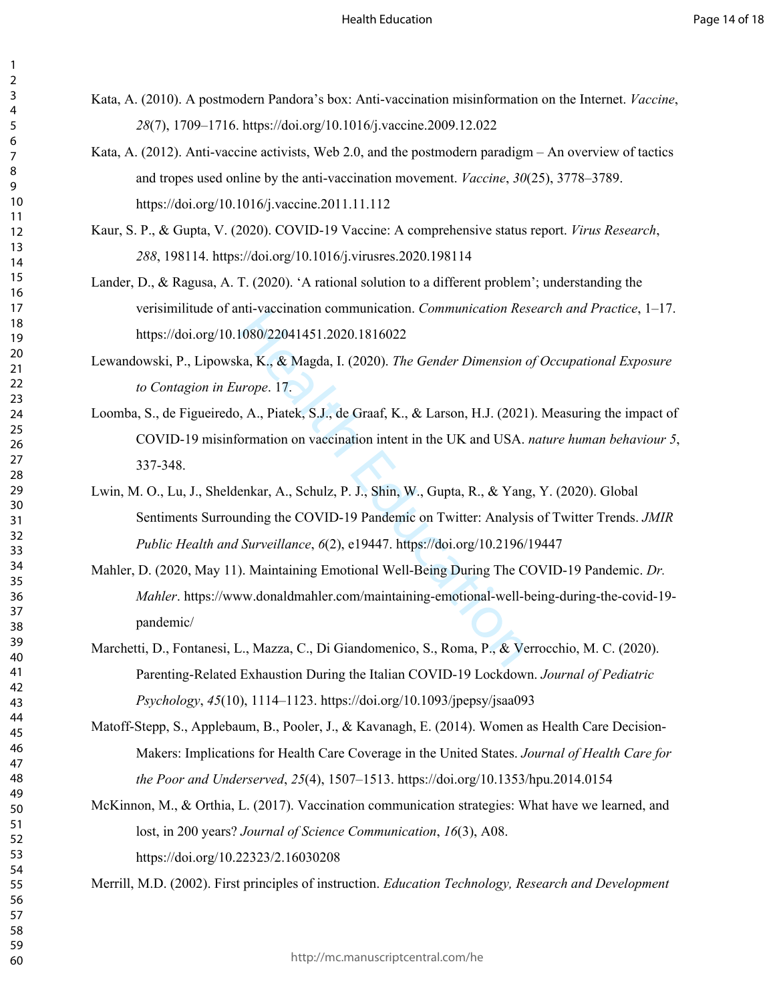- Kata, A. (2010). A postmodern Pandora's box: Anti-vaccination misinformation on the Internet. *Vaccine*, (7), 1709–1716. https://doi.org/10.1016/j.vaccine.2009.12.022
	- Kata, A. (2012). Anti-vaccine activists, Web 2.0, and the postmodern paradigm An overview of tactics and tropes used online by the anti-vaccination movement. *Vaccine*, *30*(25), 3778–3789. https://doi.org/10.1016/j.vaccine.2011.11.112
	- Kaur, S. P., & Gupta, V. (2020). COVID-19 Vaccine: A comprehensive status report. *Virus Research*, , 198114. <https://doi.org/10.1016/j.virusres.2020.198114>
- Lander, D., & Ragusa, A. T. (2020). 'A rational solution to a different problem'; understanding the verisimilitude of anti-vaccination communication. *Communication Research and Practice*, 1–17. https://doi.org/10.1080/22041451.2020.1816022
- Lewandowski, P., Lipowska, K., & Magda, I. (2020). *The Gender Dimension of Occupational Exposure to Contagion in Europe*. 17.
- Int-vacemation communication. Communication Res<br>
1080/22041451.2020.1816022<br>
ka, K., & Magda, I. (2020). *The Gender Dimension arope*. 17.<br>
, A., Piatek, S.J., de Graaf, K., & Larson, H.J. (2021<br>
ormation on vaccination in Loomba, S., de Figueiredo, A., Piatek, S.J., de Graaf, K., & Larson, H.J. (2021). Measuring the impact of COVID-19 misinformation on vaccination intent in the UK and USA. *nature human behaviour 5*, 337-348.
- Lwin, M. O., Lu, J., Sheldenkar, A., Schulz, P. J., Shin, W., Gupta, R., & Yang, Y. (2020). Global Sentiments Surrounding the COVID-19 Pandemic on Twitter: Analysis of Twitter Trends. *JMIR Public Health and Surveillance*, *6*(2), e19447. https://doi.org/10.2196/19447
- Mahler, D. (2020, May 11). Maintaining Emotional Well-Being During The COVID-19 Pandemic. *Dr. Mahler*. https://www.donaldmahler.com/maintaining-emotional-well-being-during-the-covid-19 pandemic/
- Marchetti, D., Fontanesi, L., Mazza, C., Di Giandomenico, S., Roma, P., & Verrocchio, M. C. (2020). Parenting-Related Exhaustion During the Italian COVID-19 Lockdown. *Journal of Pediatric Psychology*, *45*(10), 1114–1123. https://doi.org/10.1093/jpepsy/jsaa093
- Matoff-Stepp, S., Applebaum, B., Pooler, J., & Kavanagh, E. (2014). Women as Health Care Decision-Makers: Implications for Health Care Coverage in the United States. *Journal of Health Care for the Poor and Underserved*, *25*(4), 1507–1513. https://doi.org/10.1353/hpu.2014.0154
- McKinnon, M., & Orthia, L. (2017). Vaccination communication strategies: What have we learned, and lost, in 200 years? *Journal of Science Communication*, *16*(3), A08. <https://doi.org/10.22323/2.16030208>

Merrill, M.D. (2002). First principles of instruction. *Education Technology, Research and Development*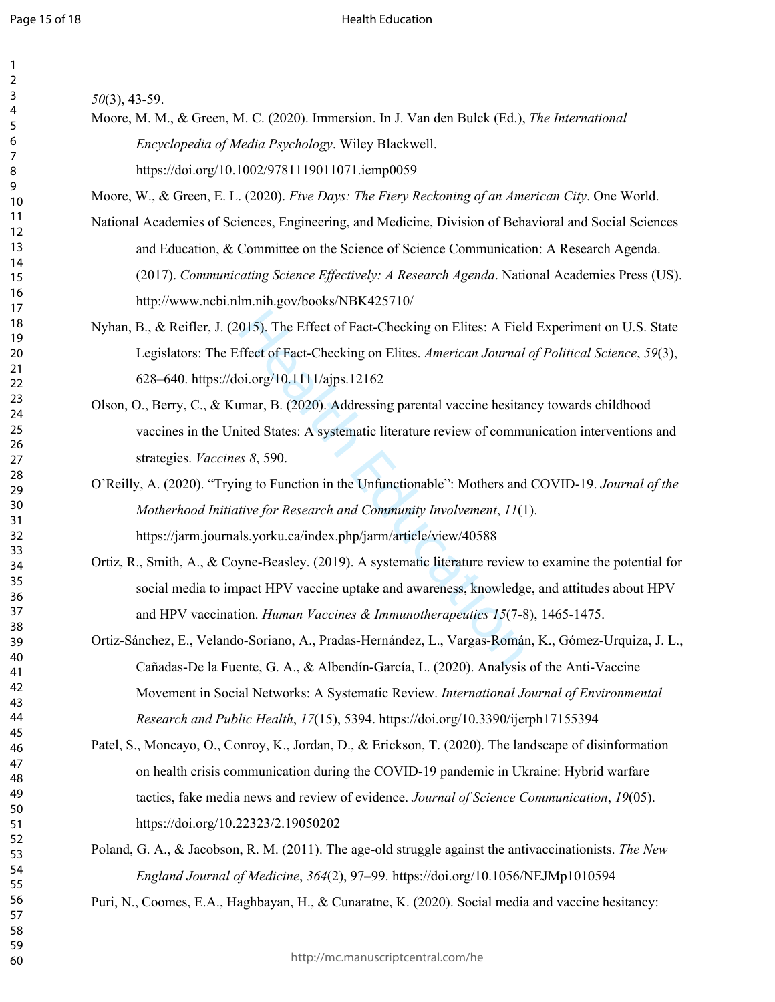#### Health Education

| 1              |                         |
|----------------|-------------------------|
| ,              |                         |
| ξ              |                         |
| 4              |                         |
| 5              |                         |
| 6              |                         |
|                |                         |
| 8              |                         |
| I<br>J         |                         |
|                | 10                      |
| 1              | 1                       |
| Ī.             | っ                       |
| $\mathbf{1}$   | ξ                       |
| 14             |                         |
| 15             |                         |
| 16             |                         |
| 1              |                         |
|                | 18                      |
| 19             | )                       |
|                | 20                      |
| $\overline{2}$ |                         |
|                | 1                       |
| $\overline{2}$ | 2                       |
| $\overline{2}$ | ξ                       |
|                | $\frac{24}{3}$          |
|                | 25                      |
|                | 26                      |
| $\frac{1}{2}$  |                         |
|                | 28                      |
|                | 29                      |
|                | 30                      |
| $\mathbf{S}$   | 1                       |
| ś              | 2                       |
| }              | ξ                       |
|                | $\frac{2}{3}$           |
|                | $\overline{35}$         |
|                | 36                      |
| 37             |                         |
|                | 88                      |
|                | 39                      |
| 40             |                         |
| 41             |                         |
| 42             |                         |
| 43             |                         |
| 44             |                         |
|                |                         |
| 45             |                         |
| 46             |                         |
| 47             |                         |
| 48             |                         |
| 49             |                         |
| 50             |                         |
| 51             |                         |
| 5              | $\overline{\mathbf{c}}$ |
| 53             |                         |
| 54             |                         |
| 55             |                         |
| 56             |                         |
| 57             |                         |
| 58             |                         |
| 59             |                         |
|                |                         |

60

*50*(3), 43-59.

Moore, M. M., & Green, M. C. (2020). Immersion. In J. Van den Bulck (Ed.), *The International Encyclopedia of Media Psychology*. Wiley Blackwell. https://doi.org/10.1002/9781119011071.iemp0059

Moore, W., & Green, E. L. (2020). *Five Days: The Fiery Reckoning of an American City*. One World.

- National Academies of Sciences, Engineering, and Medicine, Division of Behavioral and Social Sciences and Education, & Committee on the Science of Science Communication: A Research Agenda. (2017). *Communicating Science Effectively: A Research Agenda*. National Academies Press (US)[.](http://www.ncbi.nlm.nih.gov/books/NBK425710/)  <http://www.ncbi.nlm.nih.gov/books/NBK425710/>
- Nyhan, B., & Reifler, J. (2015). The Effect of Fact-Checking on Elites: A Field Experiment on U.S. State Legislators: The Effect of Fact-Checking on Elites. *American Journal of Political Science*, *59*(3), 628–640. https://doi.org/10.1111/ajps.12162
- Olson, O., Berry, C., & Kumar, B. (2020). Addressing parental vaccine hesitancy towards childhood vaccines in the United States: A systematic literature review of communication interventions and strategies. *Vaccines 8*, 590.
- O'Reilly, A. (2020). "Trying to Function in the Unfunctionable": Mothers and COVID-19. *Journal of the Motherhood Initiative for Research and Community Involvement*, *11*(1). https://jarm.journals.yorku.ca/index.php/jarm/article/view/40588
- 015). The Effect of Fact-Checking on Elites: A Field<br>ffect of Fact-Checking on Elites. American Journal<br>oi.org/10.1111/ajps.12162<br>umar, B. (2020). Addressing parental vaccine hesitar<br>ited States: A systematic literature r Ortiz, R., Smith, A., & Coyne-Beasley. (2019). A systematic literature review to examine the potential for social media to impact HPV vaccine uptake and awareness, knowledge, and attitudes about HPV and HPV vaccination. *Human Vaccines & Immunotherapeutics 15*(7-8), 1465-1475.
- Ortiz-Sánchez, E., Velando-Soriano, A., Pradas-Hernández, L., Vargas-Román, K., Gómez-Urquiza, J. L., Cañadas-De la Fuente, G. A., & Albendín-García, L. (2020). Analysis of the Anti-Vaccine Movement in Social Networks: A Systematic Review. *International Journal of Environmental Research and Public Health*, *17*(15), 5394. https://doi.org/10.3390/ijerph17155394
- Patel, S., Moncayo, O., Conroy, K., Jordan, D., & Erickson, T. (2020). The landscape of disinformation on health crisis communication during the COVID-19 pandemic in Ukraine: Hybrid warfare tactics, fake media news and review of evidence. *Journal of Science Communication*, *19*(05). https://doi.org/10.22323/2.19050202
- Poland, G. A., & Jacobson, R. M. (2011). The age-old struggle against the antivaccinationists. *The New England Journal of Medicine*, *364*(2), 97–99. <https://doi.org/10.1056/NEJMp1010594>
- Puri, N., Coomes, E.A., Haghbayan, H., & Cunaratne, K. (2020). Social media and vaccine hesitancy: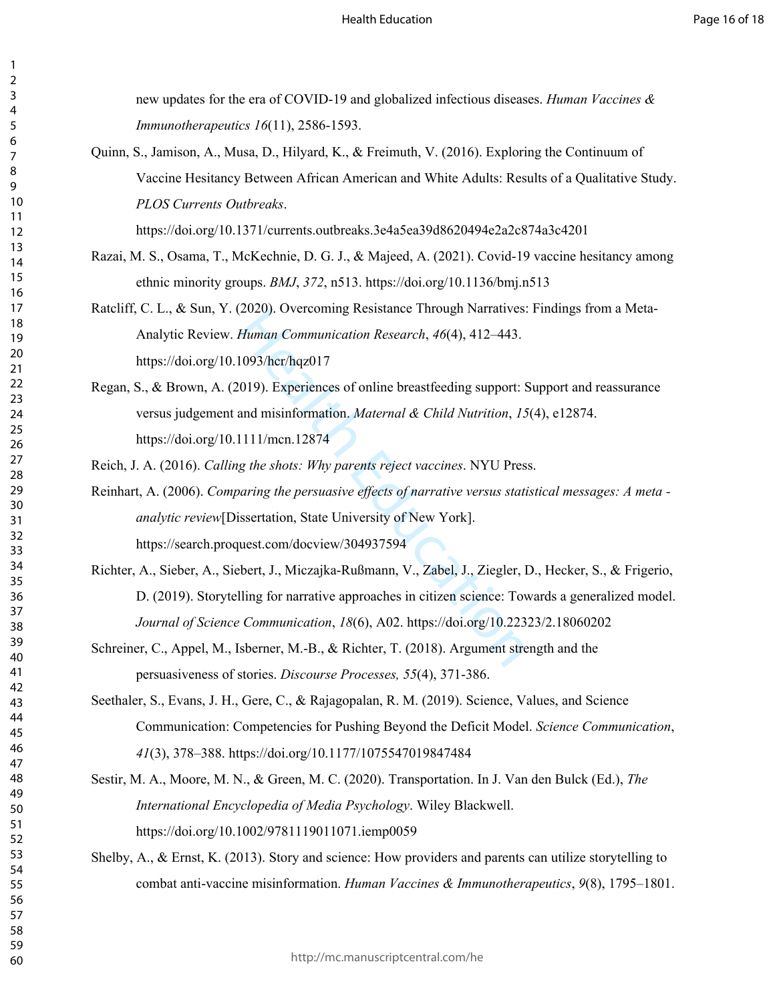new updates for the era of COVID-19 and globalized infectious diseases. *Human Vaccines & Immunotherapeutics 16*(11), 2586-1593.

Quinn, S., Jamison, A., Musa, D., Hilyard, K., & Freimuth, V. (2016). Exploring the Continuum of Vaccine Hesitancy Between African American and White Adults: Results of a Qualitative Study. *PLOS Currents Outbreaks*.

<https://doi.org/10.1371/currents.outbreaks.3e4a5ea39d8620494e2a2c874a3c4201>

- Razai, M. S., Osama, T., McKechnie, D. G. J., & Majeed, A. (2021). Covid-19 vaccine hesitancy among ethnic minority groups. *BMJ*, *372*, n513[. https://doi.org/10.1136/bmj.n513](https://doi.org/10.1136/bmj.n513)
- Ratcliff, C. L., & Sun, Y. (2020). Overcoming Resistance Through Narratives: Findings from a Meta-Analytic Review. *Human Communication Research*, *46*(4), 412–443. https://doi.org/10.1093/hcr/hqz017
- Regan, S., & Brown, A. (2019). Experiences of online breastfeeding support: Support and reassurance versus judgement and misinformation. *Maternal & Child Nutrition*, *15*(4), e12874. https://doi.org/10.1111/mcn.12874

Reich, J. A. (2016). *Calling the shots: Why parents reject vaccines*. NYU Press.

- 2020). Overcoming Resistance Tinough Natitatives.<br>
Human Communication Research, 46(4), 412–443.<br>
1093/her/hqz017<br>
019). Experiences of online breastfeeding support: S<br>
and misinformation. *Maternal & Child Nutrition*, 15<br> Reinhart, A. (2006). *Comparing the persuasive effects of narrative versus statistical messages: A meta analytic review*[Dissertation, State University of New York]. https://search.proquest.com/docview/304937594
- Richter, A., Sieber, A., Siebert, J., Miczajka-Rußmann, V., Zabel, J., Ziegler, D., Hecker, S., & Frigerio, D. (2019). Storytelling for narrative approaches in citizen science: Towards a generalized model. *Journal of Science Communication*, *18*(6), A02. https://doi.org/10.22323/2.18060202
- Schreiner, C., Appel, M., Isberner, M.-B., & Richter, T. (2018). Argument strength and the persuasiveness of stories. *Discourse Processes, 55*(4), 371-386.
- Seethaler, S., Evans, J. H., Gere, C., & Rajagopalan, R. M. (2019). Science, Values, and Science Communication: Competencies for Pushing Beyond the Deficit Model. *Science Communication*, (3), 378–388. https://doi.org/10.1177/1075547019847484
- Sestir, M. A., Moore, M. N., & Green, M. C. (2020). Transportation. In J. Van den Bulck (Ed.), *The International Encyclopedia of Media Psychology*. Wiley Blackwell. https://doi.org/10.1002/9781119011071.iemp0059
- Shelby, A., & Ernst, K. (2013). Story and science: How providers and parents can utilize storytelling to combat anti-vaccine misinformation. *Human Vaccines & Immunotherapeutics*, *9*(8), 1795–1801.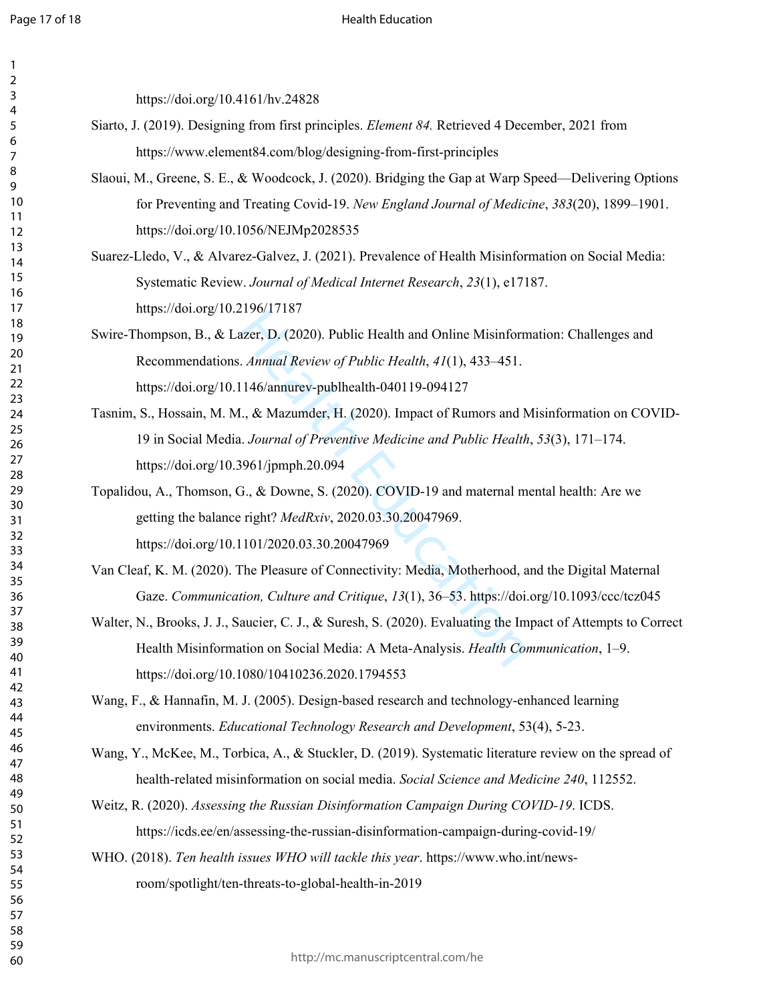$\mathbf{1}$  $\overline{2}$  $\mathsf{3}$  $\overline{4}$ 5  $\boldsymbol{6}$  $\overline{7}$  $\,8\,$ 9

## Health Education

| https://doi.org/10.4161/hv.24828                                                                             |
|--------------------------------------------------------------------------------------------------------------|
| Siarto, J. (2019). Designing from first principles. <i>Element 84</i> . Retrieved 4 December, 2021 from      |
| https://www.element84.com/blog/designing-from-first-principles                                               |
| Slaoui, M., Greene, S. E., & Woodcock, J. (2020). Bridging the Gap at Warp Speed—Delivering Options          |
| for Preventing and Treating Covid-19. New England Journal of Medicine, 383(20), 1899-1901.                   |
| https://doi.org/10.1056/NEJMp2028535                                                                         |
| Suarez-Lledo, V., & Alvarez-Galvez, J. (2021). Prevalence of Health Misinformation on Social Media:          |
| Systematic Review. Journal of Medical Internet Research, 23(1), e17187.                                      |
| https://doi.org/10.2196/17187                                                                                |
| Swire-Thompson, B., & Lazer, D. (2020). Public Health and Online Misinformation: Challenges and              |
| Recommendations. Annual Review of Public Health, 41(1), 433-451.                                             |
| https://doi.org/10.1146/annurev-publhealth-040119-094127                                                     |
| Tasnim, S., Hossain, M. M., & Mazumder, H. (2020). Impact of Rumors and Misinformation on COVID-             |
| 19 in Social Media. Journal of Preventive Medicine and Public Health, 53(3), 171-174.                        |
| https://doi.org/10.3961/jpmph.20.094                                                                         |
| Topalidou, A., Thomson, G., & Downe, S. (2020). COVID-19 and maternal mental health: Are we                  |
| getting the balance right? MedRxiv, 2020.03.30.20047969.                                                     |
| https://doi.org/10.1101/2020.03.30.20047969                                                                  |
| Van Cleaf, K. M. (2020). The Pleasure of Connectivity: Media, Motherhood, and the Digital Maternal           |
| Gaze. Communication, Culture and Critique, 13(1), 36-53. https://doi.org/10.1093/ccc/tcz045                  |
| Walter, N., Brooks, J. J., Saucier, C. J., & Suresh, S. (2020). Evaluating the Impact of Attempts to Correct |
| Health Misinformation on Social Media: A Meta-Analysis. Health Communication, 1-9.                           |
| https://doi.org/10.1080/10410236.2020.1794553                                                                |
| Wang, F., & Hannafin, M. J. (2005). Design-based research and technology-enhanced learning                   |
| environments. Educational Technology Research and Development, 53(4), 5-23.                                  |
| Wang, Y., McKee, M., Torbica, A., & Stuckler, D. (2019). Systematic literature review on the spread of       |
| health-related misinformation on social media. Social Science and Medicine 240, 112552.                      |
| Weitz, R. (2020). Assessing the Russian Disinformation Campaign During COVID-19. ICDS.                       |
| https://icds.ee/en/assessing-the-russian-disinformation-campaign-during-covid-19/                            |
| WHO. (2018). Ten health issues WHO will tackle this year. https://www.who.int/news-                          |
| room/spotlight/ten-threats-to-global-health-in-2019                                                          |
|                                                                                                              |
|                                                                                                              |